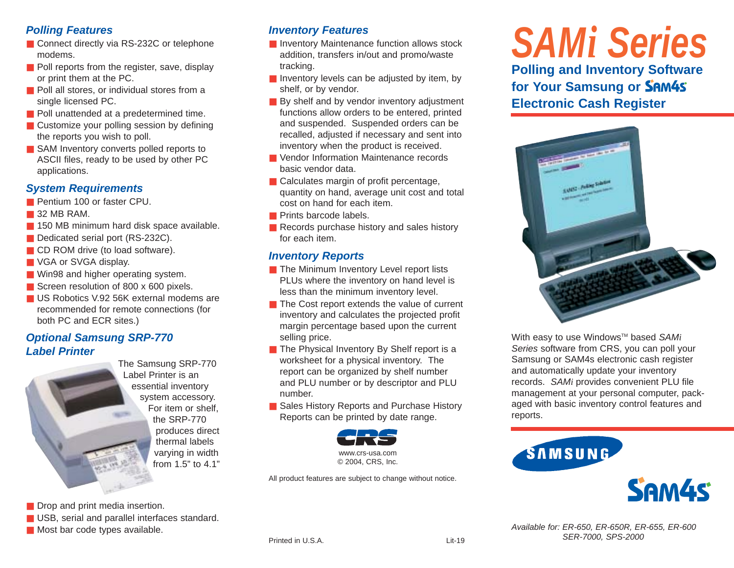## *Polling Features*

- Connect directly via RS-232C or telephone modems.
- Poll reports from the register, save, display or print them at the PC.
- Poll all stores, or individual stores from a single licensed PC.
- Poll unattended at a predetermined time.
- Customize your polling session by defining the reports you wish to poll.
- SAM Inventory converts polled reports to ASCII files, ready to be used by other PC applications.

### *System Requirements*

- Pentium 100 or faster CPU.
- 32 MB RAM.
- 150 MB minimum hard disk space available.
- Dedicated serial port (RS-232C).
- CD ROM drive (to load software).
- VGA or SVGA display.
- Win98 and higher operating system.
- Screen resolution of 800 x 600 pixels.
- US Robotics V.92 56K external modems are recommended for remote connections (for both PC and ECR sites.)

## *Optional Samsung SRP-770 Label Printer*



The Samsung SRP-770 Label Printer is an essential inventory system accessory. For item or shelf, the SRP-770 produces direct thermal labels varying in width from 1.5" to 4.1"

■ Drop and print media insertion.

- USB, serial and parallel interfaces standard.
- Most bar code types available.

## *Inventory Features*

- Inventory Maintenance function allows stock addition, transfers in/out and promo/waste tracking.
- Inventory levels can be adjusted by item, by shelf, or by vendor.
- By shelf and by vendor inventory adjustment functions allow orders to be entered, printed and suspended. Suspended orders can be recalled, adjusted if necessary and sent into inventory when the product is received.
- Vendor Information Maintenance records basic vendor data.
- Calculates margin of profit percentage, quantity on hand, average unit cost and total cost on hand for each item.
- Prints barcode labels.
- Records purchase history and sales history for each item.

## *Inventory Reports*

- The Minimum Inventory Level report lists PLUs where the inventory on hand level is less than the minimum inventory level.
- The Cost report extends the value of current inventory and calculates the projected profit margin percentage based upon the current selling price.
- The Physical Inventory By Shelf report is a worksheet for a physical inventory. The report can be organized by shelf number and PLU number or by descriptor and PLU number.
- Sales History Reports and Purchase History Reports can be printed by date range.



All product features are subject to change without notice.

## *SAMi Series* **Polling and Inventory Software for Your Samsung or Electronic Cash Register**



With easy to use Windows™ based *SAMi Series* software from CRS, you can poll your Samsung or SAM4s electronic cash register and automatically update your inventory records. *SAMi* provides convenient PLU file management at your personal computer, packaged with basic inventory control features and reports.